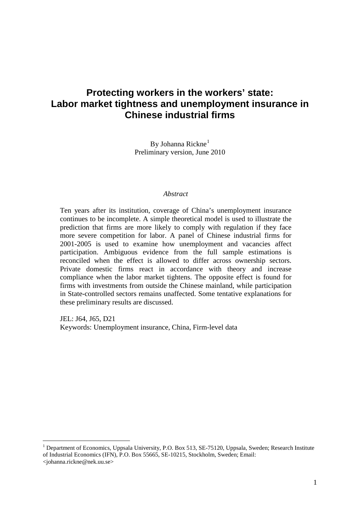## **Protecting workers in the workers' state: Labor market tightness and unemployment insurance in Chinese industrial firms**

By Johanna Rickne<sup>[1](#page-0-0)</sup> Preliminary version, June 2010

#### *Abstract*

Ten years after its institution, coverage of China's unemployment insurance continues to be incomplete. A simple theoretical model is used to illustrate the prediction that firms are more likely to comply with regulation if they face more severe competition for labor. A panel of Chinese industrial firms for 2001-2005 is used to examine how unemployment and vacancies affect participation. Ambiguous evidence from the full sample estimations is reconciled when the effect is allowed to differ across ownership sectors. Private domestic firms react in accordance with theory and increase compliance when the labor market tightens. The opposite effect is found for firms with investments from outside the Chinese mainland, while participation in State-controlled sectors remains unaffected. Some tentative explanations for these preliminary results are discussed.

JEL: J64, J65, D21 Keywords: Unemployment insurance, China, Firm-level data

<span id="page-0-0"></span><sup>&</sup>lt;sup>1</sup> Department of Economics, Uppsala University, P.O. Box 513, SE-75120, Uppsala, Sweden; Research Institute of Industrial Economics (IFN), P.O. Box 55665, SE-10215, Stockholm, Sweden; Email: <johanna.rickne@nek.uu.se>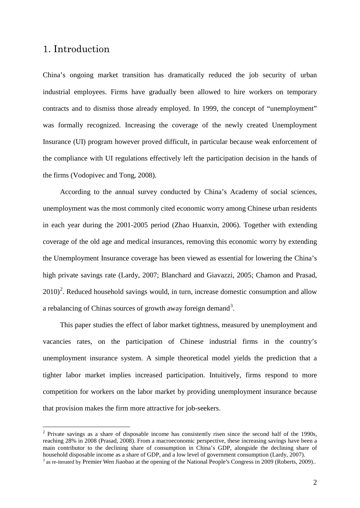#### 1. Introduction

China's ongoing market transition has dramatically reduced the job security of urban industrial employees. Firms have gradually been allowed to hire workers on temporary contracts and to dismiss those already employed. In 1999, the concept of "unemployment" was formally recognized. Increasing the coverage of the newly created Unemployment Insurance (UI) program however proved difficult, in particular because weak enforcement of the compliance with UI regulations effectively left the participation decision in the hands of the firms (Vodopivec and Tong, 2008).

According to the annual survey conducted by China's Academy of social sciences, unemployment was the most commonly cited economic worry among Chinese urban residents in each year during the 2001-2005 period (Zhao Huanxin, 2006). Together with extending coverage of the old age and medical insurances, removing this economic worry by extending the Unemployment Insurance coverage has been viewed as essential for lowering the China's high private savings rate (Lardy, 2007; Blanchard and Giavazzi, 2005; Chamon and Prasad,  $2010$  $2010$ <sup>2</sup>. Reduced household savings would, in turn, increase domestic consumption and allow a rebalancing of Chinas sources of growth away foreign demand<sup>[3](#page-1-1)</sup>.

This paper studies the effect of labor market tightness, measured by unemployment and vacancies rates, on the participation of Chinese industrial firms in the country's unemployment insurance system. A simple theoretical model yields the prediction that a tighter labor market implies increased participation. Intuitively, firms respond to more competition for workers on the labor market by providing unemployment insurance because that provision makes the firm more attractive for job-seekers.

<span id="page-1-1"></span><span id="page-1-0"></span><sup>&</sup>lt;sup>2</sup> Private savings as a share of disposable income has consistently risen since the second half of the 1990s, reaching 28% in 2008 (Prasad, 2008). From a macroeconomic perspective, these increasing savings have been a main contributor to the declining share of consumption in China's GDP, alongside the declining share of household disposable income as a share of GDP, and a low level of government consumption (Lardy, 2007). <sup>3</sup> as re-iterated by Premier Wen Jiaobao at the opening of the National People's Congress in 2009 (Roberts, 2009)..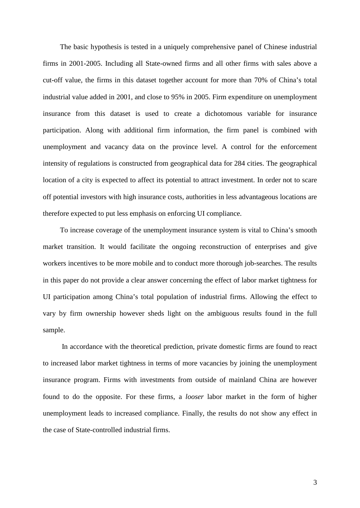The basic hypothesis is tested in a uniquely comprehensive panel of Chinese industrial firms in 2001-2005. Including all State-owned firms and all other firms with sales above a cut-off value, the firms in this dataset together account for more than 70% of China's total industrial value added in 2001, and close to 95% in 2005. Firm expenditure on unemployment insurance from this dataset is used to create a dichotomous variable for insurance participation. Along with additional firm information, the firm panel is combined with unemployment and vacancy data on the province level. A control for the enforcement intensity of regulations is constructed from geographical data for 284 cities. The geographical location of a city is expected to affect its potential to attract investment. In order not to scare off potential investors with high insurance costs, authorities in less advantageous locations are therefore expected to put less emphasis on enforcing UI compliance.

To increase coverage of the unemployment insurance system is vital to China's smooth market transition. It would facilitate the ongoing reconstruction of enterprises and give workers incentives to be more mobile and to conduct more thorough job-searches. The results in this paper do not provide a clear answer concerning the effect of labor market tightness for UI participation among China's total population of industrial firms. Allowing the effect to vary by firm ownership however sheds light on the ambiguous results found in the full sample.

In accordance with the theoretical prediction, private domestic firms are found to react to increased labor market tightness in terms of more vacancies by joining the unemployment insurance program. Firms with investments from outside of mainland China are however found to do the opposite. For these firms, a *looser* labor market in the form of higher unemployment leads to increased compliance. Finally, the results do not show any effect in the case of State-controlled industrial firms.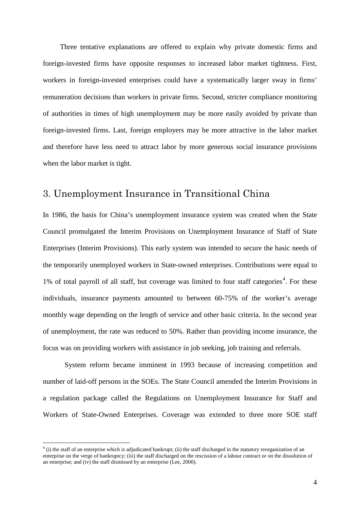Three tentative explanations are offered to explain why private domestic firms and foreign-invested firms have opposite responses to increased labor market tightness. First, workers in foreign-invested enterprises could have a systematically larger sway in firms' remuneration decisions than workers in private firms. Second, stricter compliance monitoring of authorities in times of high unemployment may be more easily avoided by private than foreign-invested firms. Last, foreign employers may be more attractive in the labor market and therefore have less need to attract labor by more generous social insurance provisions when the labor market is tight.

## 3. Unemployment Insurance in Transitional China

In 1986, the basis for China's unemployment insurance system was created when the State Council promulgated the Interim Provisions on Unemployment Insurance of Staff of State Enterprises (Interim Provisions). This early system was intended to secure the basic needs of the temporarily unemployed workers in State-owned enterprises. Contributions were equal to 1% of total payroll of all staff, but coverage was limited to four staff categories<sup>[4](#page-3-0)</sup>. For these individuals, insurance payments amounted to between 60-75% of the worker's average monthly wage depending on the length of service and other basic criteria. In the second year of unemployment, the rate was reduced to 50%. Rather than providing income insurance, the focus was on providing workers with assistance in job seeking, job training and referrals.

System reform became imminent in 1993 because of increasing competition and number of laid-off persons in the SOEs. The State Council amended the Interim Provisions in a regulation package called the Regulations on Unemployment Insurance for Staff and Workers of State-Owned Enterprises. Coverage was extended to three more SOE staff

<span id="page-3-0"></span> $<sup>4</sup>$  (i) the staff of an enterprise which is adjudicated bankrupt; (ii) the staff discharged in the statutory reorganization of an</sup> enterprise on the verge of bankruptcy; (iii) the staff discharged on the rescission of a labour contract or on the dissolution of an enterprise; and (iv) the staff dismissed by an enterprise (Lee, 2000).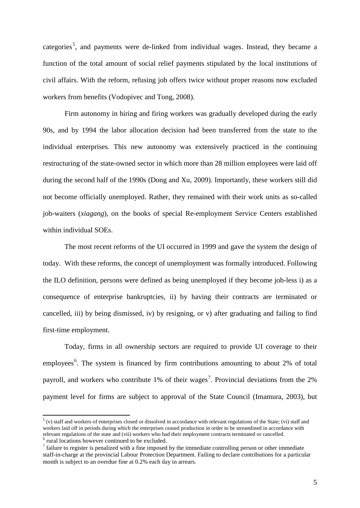categories<sup>[5](#page-4-0)</sup>, and payments were de-linked from individual wages. Instead, they became a function of the total amount of social relief payments stipulated by the local institutions of civil affairs. With the reform, refusing job offers twice without proper reasons now excluded workers from benefits (Vodopivec and Tong, 2008).

Firm autonomy in hiring and firing workers was gradually developed during the early 90s, and by 1994 the labor allocation decision had been transferred from the state to the individual enterprises. This new autonomy was extensively practiced in the continuing restructuring of the state-owned sector in which more than 28 million employees were laid off during the second half of the 1990s (Dong and Xu, 2009). Importantly, these workers still did not become officially unemployed. Rather, they remained with their work units as so-called job-waiters (*xiagang*), on the books of special Re-employment Service Centers established within individual SOEs.

The most recent reforms of the UI occurred in 1999 and gave the system the design of today. With these reforms, the concept of unemployment was formally introduced. Following the ILO definition, persons were defined as being unemployed if they become job-less i) as a consequence of enterprise bankruptcies, ii) by having their contracts are terminated or cancelled, iii) by being dismissed, iv) by resigning, or v) after graduating and failing to find first-time employment.

Today, firms in all ownership sectors are required to provide UI coverage to their employees<sup>[6](#page-4-1)</sup>. The system is financed by firm contributions amounting to about 2% of total payroll, and workers who contribute 1% of their wages<sup>[7](#page-4-2)</sup>. Provincial deviations from the 2% payment level for firms are subject to approval of the State Council (Imamura, 2003), but

<span id="page-4-0"></span> $<sup>5</sup>$  (v) staff and workers of enterprises closed or dissolved in accordance with relevant regulations of the State; (vi) staff and</sup> workers laid off in periods during which the enterprises ceased production in order to be streamlined in accordance with relevant regulations of the state and (vii) workers who had their employment contracts terminated or cancelled. <sup>6</sup> rural locations however continued to be excluded.

<span id="page-4-2"></span><span id="page-4-1"></span> $<sup>7</sup>$  failure to register is penalized with a fine imposed by the immediate controlling person or other immediate</sup> staff-in-charge at the provincial Labour Protection Department. Failing to declare contributions for a particular month is subject to an overdue fine at 0.2% each day in arrears.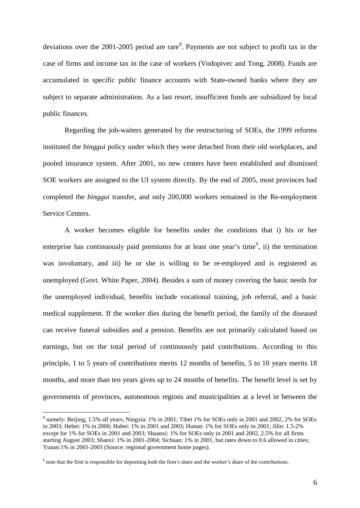deviations over the  $2001-2005$  period are rare<sup>[8](#page-5-0)</sup>. Payments are not subject to profit tax in the case of firms and income tax in the case of workers (Vodopivec and Tong, 2008). Funds are accumulated in specific public finance accounts with State-owned banks where they are subject to separate administration. As a last resort, insufficient funds are subsidized by local public finances.

Regarding the job-waiters generated by the restructuring of SOEs, the 1999 reforms instituted the *binggui* policy under which they were detached from their old workplaces, and pooled insurance system. After 2001, no new centers have been established and dismissed SOE workers are assigned to the UI system directly. By the end of 2005, most provinces had completed the *binggui* transfer, and only 200,000 workers remained in the Re-employment Service Centers.

A worker becomes eligible for benefits under the conditions that i) his or her enterprise has continuously paid premiums for at least one year's time<sup>[9](#page-5-1)</sup>, ii) the termination was involuntary, and iii) he or she is willing to be re-employed and is registered as unemployed (Govt. White Paper, 2004). Besides a sum of money covering the basic needs for the unemployed individual, benefits include vocational training, job referral, and a basic medical supplement. If the worker dies during the benefit period, the family of the diseased can receive funeral subsidies and a pension. Benefits are not primarily calculated based on earnings, but on the total period of continuously paid contributions. According to this principle, 1 to 5 years of contributions merits 12 months of benefits, 5 to 10 years merits 18 months, and more than ten years gives up to 24 months of benefits. The benefit level is set by governments of provinces, autonomous regions and municipalities at a level in between the

<span id="page-5-0"></span> <sup>8</sup> namely: Beijing, 1.5% all years; Ningxia: 1% in 2001; Tibet 1% for SOEs only in 2001 and 2002, 2% for SOEs in 2003; Hebei: 1% in 2000; Hubei: 1% in 2001 and 2003; Hunan: 1% for SOEs only in 2001; Jilin: 1.5-2% except for 1% for SOEs in 2001 and 2003; Shaanxi: 1% for SOEs only in 2001 and 2002, 2.5% for all firms starting August 2003; Shanxi: 1% in 2001-2004; Sichuan: 1% in 2001, but rates down to 0.6 allowed in cities; Yunan:1% in 2001-2003 (Source: regional government home pages).

<span id="page-5-1"></span><sup>&</sup>lt;sup>9</sup> note that the firm is responsible for depositing both the firm's share and the worker's share of the contributions.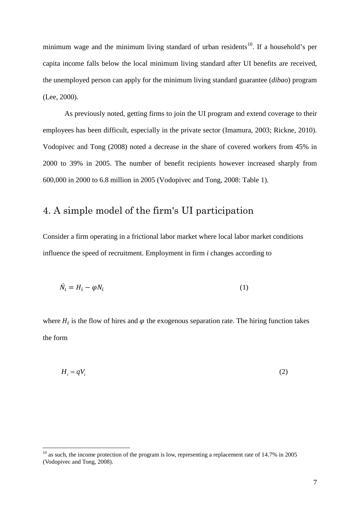minimum wage and the minimum living standard of urban residents<sup>[10](#page-6-0)</sup>. If a household's per capita income falls below the local minimum living standard after UI benefits are received, the unemployed person can apply for the minimum living standard guarantee (*dibao*) program (Lee, 2000).

As previously noted, getting firms to join the UI program and extend coverage to their employees has been difficult, especially in the private sector (Imamura, 2003; Rickne, 2010). Vodopivec and Tong (2008) noted a decrease in the share of covered workers from 45% in 2000 to 39% in 2005. The number of benefit recipients however increased sharply from 600,000 in 2000 to 6.8 million in 2005 (Vodopivec and Tong, 2008: Table 1).

## 4. A simple model of the firm's UI participation

Consider a firm operating in a frictional labor market where local labor market conditions influence the speed of recruitment. Employment in firm *i* changes according to

$$
\dot{N}_t = H_i - \varphi N_i \tag{1}
$$

where  $H_i$  is the flow of hires and  $\varphi$  the exogenous separation rate. The hiring function takes the form

$$
H_i = qV_i \tag{2}
$$

<span id="page-6-0"></span> $10$  as such, the income protection of the program is low, representing a replacement rate of 14.7% in 2005 (Vodopivec and Tong, 2008).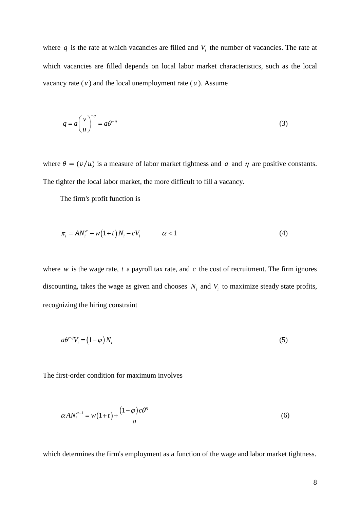where  $q$  is the rate at which vacancies are filled and  $V<sub>i</sub>$  the number of vacancies. The rate at which vacancies are filled depends on local labor market characteristics, such as the local vacancy rate  $(v)$  and the local unemployment rate  $(u)$ . Assume

$$
q = a \left(\frac{v}{u}\right)^{-\eta} = a\theta^{-\eta} \tag{3}
$$

where  $\theta = (v/u)$  is a measure of labor market tightness and *a* and  $\eta$  are positive constants. The tighter the local labor market, the more difficult to fill a vacancy.

The firm's profit function is

$$
\pi_i = A N_i^{\alpha} - w \left( 1 + t \right) N_i - c V_i \qquad \alpha < 1 \tag{4}
$$

where *w* is the wage rate, *t* a payroll tax rate, and  $c$  the cost of recruitment. The firm ignores discounting, takes the wage as given and chooses  $N_i$  and  $V_i$  to maximize steady state profits, recognizing the hiring constraint

$$
a\theta^{-\eta}V_i = (1 - \varphi)N_i \tag{5}
$$

The first-order condition for maximum involves

$$
\alpha A N_i^{\alpha - 1} = w \left( 1 + t \right) + \frac{\left( 1 - \varphi \right) c \theta^n}{a} \tag{6}
$$

which determines the firm's employment as a function of the wage and labor market tightness.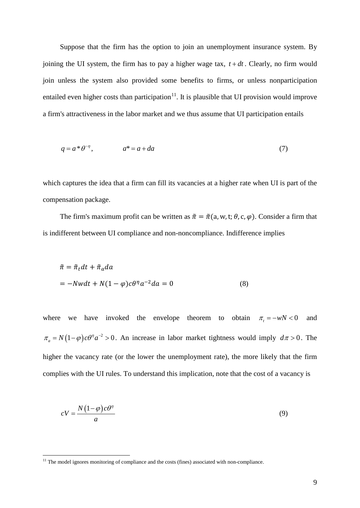Suppose that the firm has the option to join an unemployment insurance system. By joining the UI system, the firm has to pay a higher wage tax,  $t + dt$ . Clearly, no firm would join unless the system also provided some benefits to firms, or unless nonparticipation entailed even higher costs than participation $11$ . It is plausible that UI provision would improve a firm's attractiveness in the labor market and we thus assume that UI participation entails

$$
q = a^* \theta^{-\eta}, \qquad a^* = a + da \tag{7}
$$

which captures the idea that a firm can fill its vacancies at a higher rate when UI is part of the compensation package.

The firm's maximum profit can be written as  $\tilde{\pi} = \tilde{\pi}$  (a, w, t;  $\theta$ , c,  $\varphi$ ). Consider a firm that is indifferent between UI compliance and non-noncompliance. Indifference implies

$$
\tilde{\pi} = \tilde{\pi}_t dt + \tilde{\pi}_a da
$$
  
= -Nwdt + N(1 - \varphi)c\theta^{\eta} a^{-2} da = 0 \t(8)

where we have invoked the envelope theorem to obtain  $\pi$  =  $-wN < 0$  and  $\pi_a = N(1-\varphi)c\theta^{\eta}a^{-2} > 0$ . An increase in labor market tightness would imply  $d\pi > 0$ . The higher the vacancy rate (or the lower the unemployment rate), the more likely that the firm complies with the UI rules. To understand this implication, note that the cost of a vacancy is

$$
cV = \frac{N(1-\varphi)c\theta^n}{a} \tag{9}
$$

<span id="page-8-0"></span><sup>&</sup>lt;sup>11</sup> The model ignores monitoring of compliance and the costs (fines) associated with non-compliance.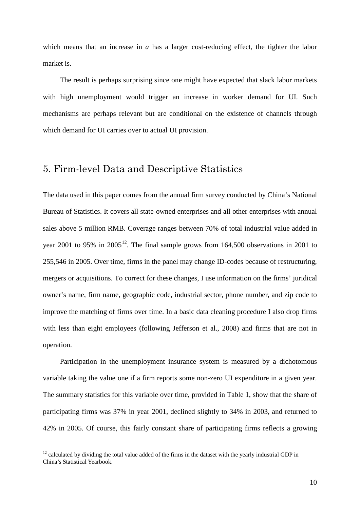which means that an increase in *a* has a larger cost-reducing effect, the tighter the labor market is.

The result is perhaps surprising since one might have expected that slack labor markets with high unemployment would trigger an increase in worker demand for UI. Such mechanisms are perhaps relevant but are conditional on the existence of channels through which demand for UI carries over to actual UI provision.

## 5. Firm-level Data and Descriptive Statistics

The data used in this paper comes from the annual firm survey conducted by China's National Bureau of Statistics. It covers all state-owned enterprises and all other enterprises with annual sales above 5 million RMB. Coverage ranges between 70% of total industrial value added in year 2001 to 95% in  $2005^{12}$  $2005^{12}$  $2005^{12}$ . The final sample grows from 164,500 observations in 2001 to 255,546 in 2005. Over time, firms in the panel may change ID-codes because of restructuring, mergers or acquisitions. To correct for these changes, I use information on the firms' juridical owner's name, firm name, geographic code, industrial sector, phone number, and zip code to improve the matching of firms over time. In a basic data cleaning procedure I also drop firms with less than eight employees (following Jefferson et al., 2008) and firms that are not in operation.

Participation in the unemployment insurance system is measured by a dichotomous variable taking the value one if a firm reports some non-zero UI expenditure in a given year. The summary statistics for this variable over time, provided in Table 1, show that the share of participating firms was 37% in year 2001, declined slightly to 34% in 2003, and returned to 42% in 2005. Of course, this fairly constant share of participating firms reflects a growing

<span id="page-9-0"></span><sup>&</sup>lt;sup>12</sup> calculated by dividing the total value added of the firms in the dataset with the yearly industrial GDP in China's Statistical Yearbook.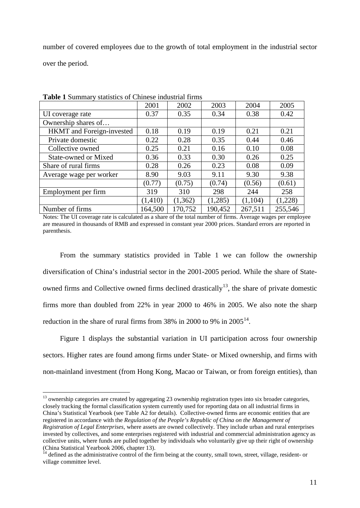number of covered employees due to the growth of total employment in the industrial sector over the period.

|                             | 2001     | 2002    | 2003    | 2004    | 2005    |
|-----------------------------|----------|---------|---------|---------|---------|
| UI coverage rate            | 0.37     | 0.35    | 0.34    | 0.38    | 0.42    |
| Ownership shares of         |          |         |         |         |         |
| HKMT and Foreign-invested   | 0.18     | 0.19    | 0.19    | 0.21    | 0.21    |
| Private domestic            | 0.22     | 0.28    | 0.35    | 0.44    | 0.46    |
| Collective owned            | 0.25     | 0.21    | 0.16    | 0.10    | 0.08    |
| <b>State-owned or Mixed</b> | 0.36     | 0.33    | 0.30    | 0.26    | 0.25    |
| Share of rural firms        | 0.28     | 0.26    | 0.23    | 0.08    | 0.09    |
| Average wage per worker     | 8.90     | 9.03    | 9.11    | 9.30    | 9.38    |
|                             | (0.77)   | (0.75)  | (0.74)  | (0.56)  | (0.61)  |
| Employment per firm         | 319      | 310     | 298     | 244     | 258     |
|                             | (1, 410) | (1,362) | (1,285) | (1,104) | (1,228) |
| Number of firms             | 164,500  | 170,752 | 190,452 | 267,511 | 255,546 |

**Table 1** Summary statistics of Chinese industrial firms

Notes: The UI coverage rate is calculated as a share of the total number of firms. Average wages per employee are measured in thousands of RMB and expressed in constant year 2000 prices. Standard errors are reported in parenthesis.

From the summary statistics provided in Table 1 we can follow the ownership diversification of China's industrial sector in the 2001-2005 period. While the share of Stateowned firms and Collective owned firms declined drastically<sup>13</sup>, the share of private domestic firms more than doubled from 22% in year 2000 to 46% in 2005. We also note the sharp reduction in the share of rural firms from 38% in 2000 to 9% in  $2005^{14}$  $2005^{14}$  $2005^{14}$ .

Figure 1 displays the substantial variation in UI participation across four ownership sectors. Higher rates are found among firms under State- or Mixed ownership, and firms with non-mainland investment (from Hong Kong, Macao or Taiwan, or from foreign entities), than

<span id="page-10-0"></span><sup>13</sup> ownership categories are created by aggregating 23 ownership registration types into six broader categories, closely tracking the formal classification system currently used for reporting data on all industrial firms in China's Statistical Yearbook (see Table A2 for details). Collective-owned firms are economic entities that are registered in accordance with the *Regulation of the People's Republic of China on the Management of Registration of Legal Enterprises*, where assets are owned collectively. They include urban and rural enterprises invested by collectives, and some enterprises registered with industrial and commercial administration agency as collective units, where funds are pulled together by individuals who voluntarily give up their right of ownership (China Statistical Yearbook 2006, chapter 13).

<span id="page-10-1"></span> $<sup>4</sup>$  defined as the administrative control of the firm being at the county, small town, street, village, resident- or</sup> village committee level.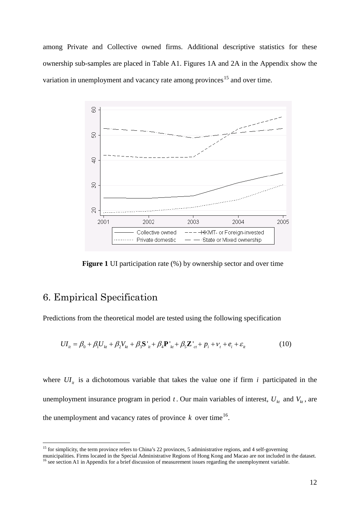among Private and Collective owned firms. Additional descriptive statistics for these ownership sub-samples are placed in Table A1. Figures 1A and 2A in the Appendix show the variation in unemployment and vacancy rate among provinces<sup>[15](#page-11-0)</sup> and over time.



**Figure 1** UI participation rate  $(\%)$  by ownership sector and over time

## 6. Empirical Specification

Predictions from the theoretical model are tested using the following specification

$$
UI_{it} = \beta_0 + \beta_1 U_{kt} + \beta_2 V_{kt} + \beta_3 S_{it} + \beta_4 P_{kt} + \beta_5 Z_{ct} + p_i + v_t + e_i + \varepsilon_{it}
$$
(10)

where  $UI_{ii}$  is a dichotomous variable that takes the value one if firm *i* participated in the unemployment insurance program in period *t*. Our main variables of interest,  $U_{k}$  and  $V_{k}$ , are the unemployment and vacancy rates of province  $k$  over time<sup>[16](#page-11-1)</sup>.

<span id="page-11-0"></span><sup>&</sup>lt;sup>15</sup> for simplicity, the term province refers to China's 22 provinces, 5 administrative regions, and 4 self-governing

<span id="page-11-1"></span>municipalities. Firms located in the Special Administrative Regions of Hong Kong and Macao are not included in the dataset. <sup>16</sup> see section A1 in Appendix for a brief discussion of measurement issues regarding the unemployment variable.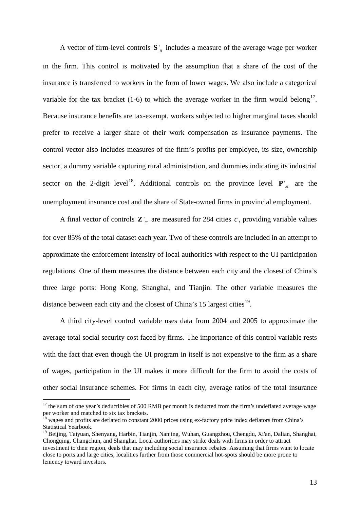A vector of firm-level controls  $S_{i}$  includes a measure of the average wage per worker in the firm. This control is motivated by the assumption that a share of the cost of the insurance is transferred to workers in the form of lower wages. We also include a categorical variable for the tax bracket (1-6) to which the average worker in the firm would belong<sup>17</sup>. Because insurance benefits are tax-exempt, workers subjected to higher marginal taxes should prefer to receive a larger share of their work compensation as insurance payments. The control vector also includes measures of the firm's profits per employee, its size, ownership sector, a dummy variable capturing rural administration, and dummies indicating its industrial sector on the 2-digit level<sup>[18](#page-12-1)</sup>. Additional controls on the province level  $P_{k}$  are the unemployment insurance cost and the share of State-owned firms in provincial employment.

A final vector of controls  $\mathbf{Z}_{ct}$  are measured for 284 cities *c*, providing variable values for over 85% of the total dataset each year. Two of these controls are included in an attempt to approximate the enforcement intensity of local authorities with respect to the UI participation regulations. One of them measures the distance between each city and the closest of China's three large ports: Hong Kong, Shanghai, and Tianjin. The other variable measures the distance between each city and the closest of China's 15 largest cities $^{19}$  $^{19}$  $^{19}$ .

A third city-level control variable uses data from 2004 and 2005 to approximate the average total social security cost faced by firms. The importance of this control variable rests with the fact that even though the UI program in itself is not expensive to the firm as a share of wages, participation in the UI makes it more difficult for the firm to avoid the costs of other social insurance schemes. For firms in each city, average ratios of the total insurance

<span id="page-12-0"></span><sup>&</sup>lt;sup>17</sup> the sum of one year's deductibles of 500 RMB per month is deducted from the firm's undeflated average wage per worker and matched to six tax brackets.

<span id="page-12-1"></span><sup>&</sup>lt;sup>18</sup> wages and profits are deflated to constant 2000 prices using ex-factory price index deflators from China's Statistical Yearbook.

<span id="page-12-2"></span><sup>&</sup>lt;sup>19</sup> Beijing, Taiyuan, Shenyang, Harbin, Tianjin, Nanjing, Wuhan, Guangzhou, Chengdu, Xi'an, Dalian, Shanghai, Chongqing, Changchun, and Shanghai. Local authorities may strike deals with firms in order to attract investment to their region, deals that may including social insurance rebates. Assuming that firms want to locate close to ports and large cities, localities further from those commercial hot-spots should be more prone to leniency toward investors.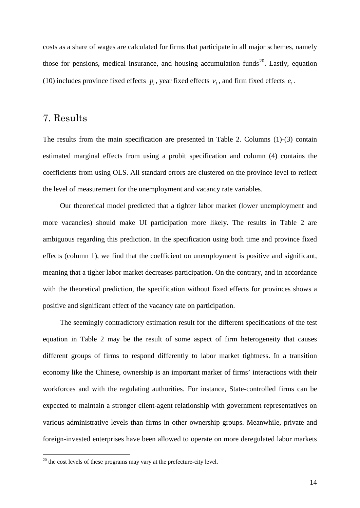costs as a share of wages are calculated for firms that participate in all major schemes, namely those for pensions, medical insurance, and housing accumulation funds<sup>[20](#page-13-0)</sup>. Lastly, equation (10) includes province fixed effects  $p_i$ , year fixed effects  $v_i$ , and firm fixed effects  $e_i$ .

#### 7. Results

The results from the main specification are presented in Table 2. Columns (1)-(3) contain estimated marginal effects from using a probit specification and column (4) contains the coefficients from using OLS. All standard errors are clustered on the province level to reflect the level of measurement for the unemployment and vacancy rate variables.

Our theoretical model predicted that a tighter labor market (lower unemployment and more vacancies) should make UI participation more likely. The results in Table 2 are ambiguous regarding this prediction. In the specification using both time and province fixed effects (column 1), we find that the coefficient on unemployment is positive and significant, meaning that a tigher labor market decreases participation. On the contrary, and in accordance with the theoretical prediction, the specification without fixed effects for provinces shows a positive and significant effect of the vacancy rate on participation.

The seemingly contradictory estimation result for the different specifications of the test equation in Table 2 may be the result of some aspect of firm heterogeneity that causes different groups of firms to respond differently to labor market tightness. In a transition economy like the Chinese, ownership is an important marker of firms' interactions with their workforces and with the regulating authorities. For instance, State-controlled firms can be expected to maintain a stronger client-agent relationship with government representatives on various administrative levels than firms in other ownership groups. Meanwhile, private and foreign-invested enterprises have been allowed to operate on more deregulated labor markets

<span id="page-13-0"></span> $^{20}$  the cost levels of these programs may vary at the prefecture-city level.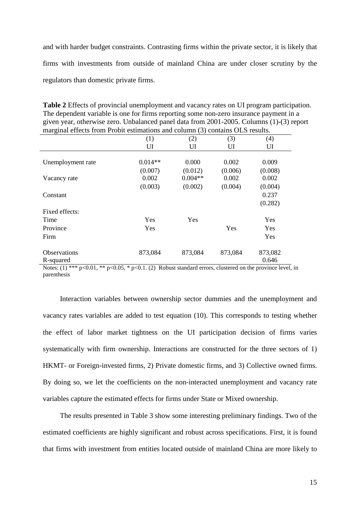and with harder budget constraints. Contrasting firms within the private sector, it is likely that firms with investments from outside of mainland China are under closer scrutiny by the regulators than domestic private firms.

| <b>Table 2</b> Effects of provincial unemployment and vacancy rates on UI program participation. |
|--------------------------------------------------------------------------------------------------|
| The dependent variable is one for firms reporting some non-zero insurance payment in a           |
| given year, otherwise zero. Unbalanced panel data from 2001-2005. Columns (1)-(3) report         |
| marginal effects from Probit estimations and column (3) contains OLS results.                    |

|                     | (1)        | (2)       | (3)     | (4)     |
|---------------------|------------|-----------|---------|---------|
|                     | UI         | UI        | UI      | UI      |
|                     |            |           |         |         |
| Unemployment rate   | $0.014**$  | 0.000     | 0.002   | 0.009   |
|                     | (0.007)    | (0.012)   | (0.006) | (0.008) |
| Vacancy rate        | 0.002      | $0.004**$ | 0.002   | 0.002   |
|                     | (0.003)    | (0.002)   | (0.004) | (0.004) |
| Constant            |            |           |         | 0.237   |
|                     |            |           |         | (0.282) |
| Fixed effects:      |            |           |         |         |
| Time                | <b>Yes</b> | Yes       |         | Yes     |
| Province            | Yes        |           | Yes     | Yes     |
| Firm                |            |           |         | Yes     |
|                     |            |           |         |         |
| <b>Observations</b> | 873,084    | 873,084   | 873,084 | 873,082 |
| R-squared           |            |           |         | 0.646   |
|                     |            |           |         |         |

Notes: (1) \*\*\* p<0.01, \*\* p<0.05, \* p<0.1. (2) Robust standard errors, clustered on the province level, in parenthesis

Interaction variables between ownership sector dummies and the unemployment and vacancy rates variables are added to test equation (10). This corresponds to testing whether the effect of labor market tightness on the UI participation decision of firms varies systematically with firm ownership. Interactions are constructed for the three sectors of 1) HKMT- or Foreign-invested firms, 2) Private domestic firms, and 3) Collective owned firms. By doing so, we let the coefficients on the non-interacted unemployment and vacancy rate variables capture the estimated effects for firms under State or Mixed ownership.

The results presented in Table 3 show some interesting preliminary findings. Two of the estimated coefficients are highly significant and robust across specifications. First, it is found that firms with investment from entities located outside of mainland China are more likely to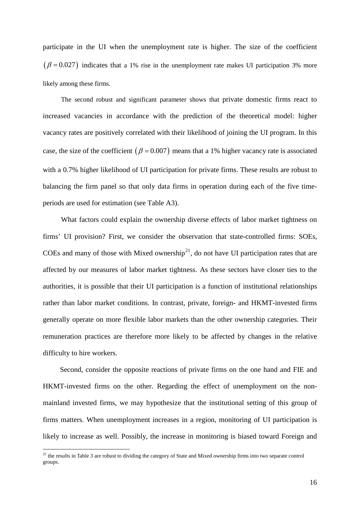participate in the UI when the unemployment rate is higher. The size of the coefficient  $(\beta = 0.027)$  indicates that a 1% rise in the unemployment rate makes UI participation 3% more likely among these firms.

The second robust and significant parameter shows that private domestic firms react to increased vacancies in accordance with the prediction of the theoretical model: higher vacancy rates are positively correlated with their likelihood of joining the UI program. In this case, the size of the coefficient  $(\beta = 0.007)$  means that a 1% higher vacancy rate is associated with a 0.7% higher likelihood of UI participation for private firms. These results are robust to balancing the firm panel so that only data firms in operation during each of the five timeperiods are used for estimation (see Table A3).

What factors could explain the ownership diverse effects of labor market tightness on firms' UI provision? First, we consider the observation that state-controlled firms: SOEs, COEs and many of those with Mixed ownership<sup>[21](#page-15-0)</sup>, do not have UI participation rates that are affected by our measures of labor market tightness. As these sectors have closer ties to the authorities, it is possible that their UI participation is a function of institutional relationships rather than labor market conditions. In contrast, private, foreign- and HKMT-invested firms generally operate on more flexible labor markets than the other ownership categories. Their remuneration practices are therefore more likely to be affected by changes in the relative difficulty to hire workers.

Second, consider the opposite reactions of private firms on the one hand and FIE and HKMT-invested firms on the other. Regarding the effect of unemployment on the nonmainland invested firms, we may hypothesize that the institutional setting of this group of firms matters. When unemployment increases in a region, monitoring of UI participation is likely to increase as well. Possibly, the increase in monitoring is biased toward Foreign and

<span id="page-15-0"></span> $21$  the results in Table 3 are robust to dividing the category of State and Mixed ownership firms into two separate control groups.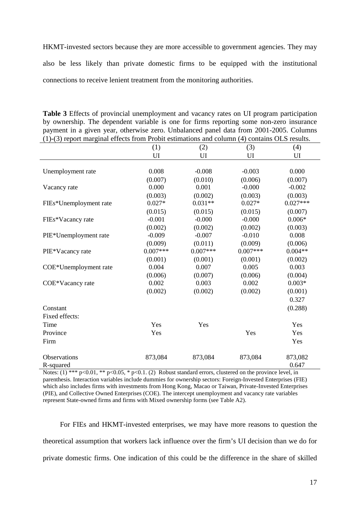HKMT-invested sectors because they are more accessible to government agencies. They may also be less likely than private domestic firms to be equipped with the institutional connections to receive lenient treatment from the monitoring authorities.

| (1)-(3) report marginal effects from Probit estimations and column (4) contains OLS results. |            |            |            |                  |  |
|----------------------------------------------------------------------------------------------|------------|------------|------------|------------------|--|
|                                                                                              | (1)        | (2)        | (3)        | (4)              |  |
|                                                                                              | UI         | UI         | UI         | UI               |  |
| Unemployment rate                                                                            | 0.008      | $-0.008$   | $-0.003$   | 0.000            |  |
|                                                                                              | (0.007)    | (0.010)    | (0.006)    | (0.007)          |  |
| Vacancy rate                                                                                 | 0.000      | 0.001      | $-0.000$   | $-0.002$         |  |
|                                                                                              | (0.003)    | (0.002)    | (0.003)    | (0.003)          |  |
| FIEs*Unemployment rate                                                                       | $0.027*$   | $0.031**$  | $0.027*$   | $0.027***$       |  |
|                                                                                              | (0.015)    | (0.015)    | (0.015)    | (0.007)          |  |
| FIEs*Vacancy rate                                                                            | $-0.001$   | $-0.000$   | $-0.000$   | $0.006*$         |  |
|                                                                                              | (0.002)    | (0.002)    | (0.002)    | (0.003)          |  |
| PIE*Unemployment rate                                                                        | $-0.009$   | $-0.007$   | $-0.010$   | 0.008            |  |
|                                                                                              | (0.009)    | (0.011)    | (0.009)    | (0.006)          |  |
| PIE*Vacancy rate                                                                             | $0.007***$ | $0.007***$ | $0.007***$ | $0.004**$        |  |
|                                                                                              | (0.001)    | (0.001)    | (0.001)    | (0.002)          |  |
| COE*Unemployment rate                                                                        | 0.004      | 0.007      | 0.005      | 0.003            |  |
|                                                                                              | (0.006)    | (0.007)    | (0.006)    | (0.004)          |  |
| COE*Vacancy rate                                                                             | 0.002      | 0.003      | 0.002      | $0.003*$         |  |
|                                                                                              | (0.002)    | (0.002)    | (0.002)    | (0.001)          |  |
|                                                                                              |            |            |            | 0.327            |  |
| Constant                                                                                     |            |            |            | (0.288)          |  |
| Fixed effects:                                                                               |            |            |            |                  |  |
| Time                                                                                         | Yes        | Yes        |            | Yes              |  |
| Province                                                                                     | Yes        |            | Yes        | Yes              |  |
| Firm                                                                                         |            |            |            | Yes              |  |
| Observations<br>R-squared                                                                    | 873,084    | 873,084    | 873,084    | 873,082<br>0.647 |  |

**Table 3** Effects of provincial unemployment and vacancy rates on UI program participation by ownership. The dependent variable is one for firms reporting some non-zero insurance payment in a given year, otherwise zero. Unbalanced panel data from 2001-2005. Columns

Notes: (1) \*\*\* p<0.01, \*\* p<0.05, \* p<0.1. (2) Robust standard errors, clustered on the province level, in parenthesis. Interaction variables include dummies for ownership sectors: Foreign-Invested Enterprises (FIE) which also includes firms with investments from Hong Kong, Macao or Taiwan, Private-Invested Enterprises (PIE), and Collective Owned Enterprises (COE). The intercept unemployment and vacancy rate variables represent State-owned firms and firms with Mixed ownership forms (see Table A2).

For FIEs and HKMT-invested enterprises, we may have more reasons to question the theoretical assumption that workers lack influence over the firm's UI decision than we do for private domestic firms. One indication of this could be the difference in the share of skilled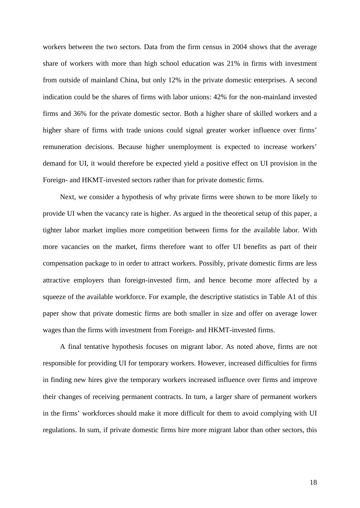workers between the two sectors. Data from the firm census in 2004 shows that the average share of workers with more than high school education was 21% in firms with investment from outside of mainland China, but only 12% in the private domestic enterprises. A second indication could be the shares of firms with labor unions: 42% for the non-mainland invested firms and 36% for the private domestic sector. Both a higher share of skilled workers and a higher share of firms with trade unions could signal greater worker influence over firms' remuneration decisions. Because higher unemployment is expected to increase workers' demand for UI, it would therefore be expected yield a positive effect on UI provision in the Foreign- and HKMT-invested sectors rather than for private domestic firms.

Next, we consider a hypothesis of why private firms were shown to be more likely to provide UI when the vacancy rate is higher. As argued in the theoretical setup of this paper, a tighter labor market implies more competition between firms for the available labor. With more vacancies on the market, firms therefore want to offer UI benefits as part of their compensation package to in order to attract workers. Possibly, private domestic firms are less attractive employers than foreign-invested firm, and hence become more affected by a squeeze of the available workforce. For example, the descriptive statistics in Table A1 of this paper show that private domestic firms are both smaller in size and offer on average lower wages than the firms with investment from Foreign- and HKMT-invested firms.

A final tentative hypothesis focuses on migrant labor. As noted above, firms are not responsible for providing UI for temporary workers. However, increased difficulties for firms in finding new hires give the temporary workers increased influence over firms and improve their changes of receiving permanent contracts. In turn, a larger share of permanent workers in the firms' workforces should make it more difficult for them to avoid complying with UI regulations. In sum, if private domestic firms hire more migrant labor than other sectors, this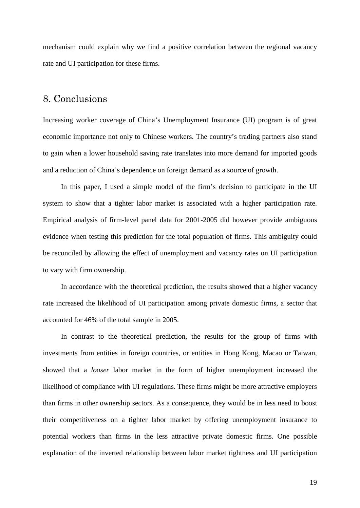mechanism could explain why we find a positive correlation between the regional vacancy rate and UI participation for these firms.

### 8. Conclusions

Increasing worker coverage of China's Unemployment Insurance (UI) program is of great economic importance not only to Chinese workers. The country's trading partners also stand to gain when a lower household saving rate translates into more demand for imported goods and a reduction of China's dependence on foreign demand as a source of growth.

In this paper, I used a simple model of the firm's decision to participate in the UI system to show that a tighter labor market is associated with a higher participation rate. Empirical analysis of firm-level panel data for 2001-2005 did however provide ambiguous evidence when testing this prediction for the total population of firms. This ambiguity could be reconciled by allowing the effect of unemployment and vacancy rates on UI participation to vary with firm ownership.

In accordance with the theoretical prediction, the results showed that a higher vacancy rate increased the likelihood of UI participation among private domestic firms, a sector that accounted for 46% of the total sample in 2005.

In contrast to the theoretical prediction, the results for the group of firms with investments from entities in foreign countries, or entities in Hong Kong, Macao or Taiwan, showed that a *looser* labor market in the form of higher unemployment increased the likelihood of compliance with UI regulations. These firms might be more attractive employers than firms in other ownership sectors. As a consequence, they would be in less need to boost their competitiveness on a tighter labor market by offering unemployment insurance to potential workers than firms in the less attractive private domestic firms. One possible explanation of the inverted relationship between labor market tightness and UI participation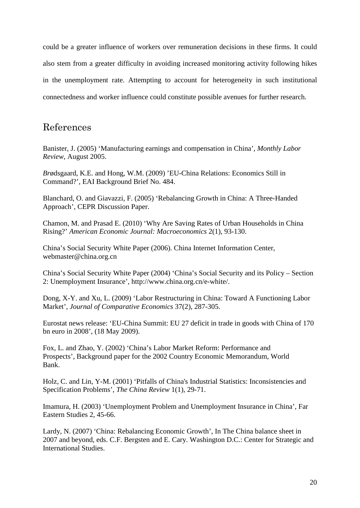could be a greater influence of workers over remuneration decisions in these firms. It could also stem from a greater difficulty in avoiding increased monitoring activity following hikes in the unemployment rate. Attempting to account for heterogeneity in such institutional connectedness and worker influence could constitute possible avenues for further research.

## References

Banister, J. (2005) 'Manufacturing earnings and compensation in China', *Monthly Labor Review,* August 2005.

*Br*ødsgaard, K.E. and Hong, W.M. (2009) 'EU-China Relations: Economics Still in Command?', EAI Background Brief No. 484.

Blanchard, O. and Giavazzi, F. (2005) 'Rebalancing Growth in China: A Three-Handed Approach', CEPR Discussion Paper.

Chamon, M. and Prasad E. (2010) 'Why Are Saving Rates of Urban Households in China Rising?' *American Economic Journal: Macroeconomics* 2(1), 93-130.

China's Social Security White Paper (2006). China Internet Information Center, webmaster@china.org.cn

China's Social Security White Paper (2004) 'China's Social Security and its Policy – Section 2: Unemployment Insurance', [http://www.china.org.cn/e-white/.](http://www.china.org.cn/e-white/)

Dong, X-Y. and Xu, L. (2009) 'Labor Restructuring in China: Toward A Functioning Labor Market', *Journal of Comparative Economics* 37(2), 287-305.

Eurostat news release: 'EU-China Summit: EU 27 deficit in trade in goods with China of 170 bn euro in 2008', (18 May 2009).

Fox, L. and Zhao, Y. (2002) 'China's Labor Market Reform: Performance and Prospects', Background paper for the 2002 Country Economic Memorandum, World Bank.

Holz, C. and Lin, Y-M. (2001) 'Pitfalls of China's Industrial Statistics: Inconsistencies and Specification Problems', *The China Review* 1(1), 29-71.

Imamura, H. (2003) 'Unemployment Problem and Unemployment Insurance in China', Far Eastern Studies 2, 45-66.

Lardy, N. (2007) 'China: Rebalancing Economic Growth', In The China balance sheet in 2007 and beyond, eds. C.F. Bergsten and E. Cary. Washington D.C.: Center for Strategic and International Studies.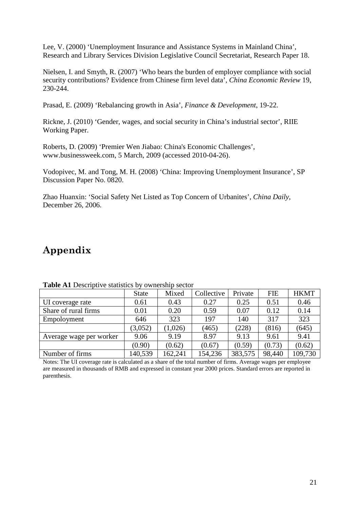Lee, V. (2000) 'Unemployment Insurance and Assistance Systems in Mainland China', Research and Library Services Division Legislative Council Secretariat, Research Paper 18.

Nielsen, I. and Smyth, R. (2007) 'Who bears the burden of employer compliance with social security contributions? Evidence from Chinese firm level data', *China Economic Review* 19, 230-244.

Prasad, E. (2009) 'Rebalancing growth in Asia', *Finance & Development*, 19-22.

Rickne, J. (2010) 'Gender, wages, and social security in China's industrial sector', RIIE Working Paper.

Roberts, D. (2009) 'Premier Wen Jiabao: China's Economic Challenges', [www.businessweek.com,](http://www.businessweek.com/) 5 March, 2009 (accessed 2010-04-26).

Vodopivec, M. and Tong, M. H. (2008) 'China: Improving Unemployment Insurance', SP Discussion Paper No. 0820.

Zhao Huanxin: 'Social Safety Net Listed as Top Concern of Urbanites', *China Daily*, December 26, 2006.

# **Appendix**

| <b>THOIC</b> THE DUSTIBLE COMMONION OF OWNERSHIP SUCTOR |              |         |            |         |            |             |  |
|---------------------------------------------------------|--------------|---------|------------|---------|------------|-------------|--|
|                                                         | <b>State</b> | Mixed   | Collective | Private | <b>FIE</b> | <b>HKMT</b> |  |
| UI coverage rate                                        | 0.61         | 0.43    | 0.27       | 0.25    | 0.51       | 0.46        |  |
| Share of rural firms                                    | 0.01         | 0.20    | 0.59       | 0.07    | 0.12       | 0.14        |  |
| Empoloyment                                             | 646          | 323     | 197        | 140     | 317        | 323         |  |
|                                                         | (3,052)      | (1,026) | (465)      | (228)   | (816)      | (645)       |  |
| Average wage per worker                                 | 9.06         | 9.19    | 8.97       | 9.13    | 9.61       | 9.41        |  |
|                                                         | (0.90)       | (0.62)  | (0.67)     | (0.59)  | (0.73)     | (0.62)      |  |
| Number of firms                                         | 140,539      | 162,241 | 154,236    | 383,575 | 98,440     | 109,730     |  |

**Table A1** Descriptive statistics by ownership sector

Notes: The UI coverage rate is calculated as a share of the total number of firms. Average wages per employee are measured in thousands of RMB and expressed in constant year 2000 prices. Standard errors are reported in parenthesis.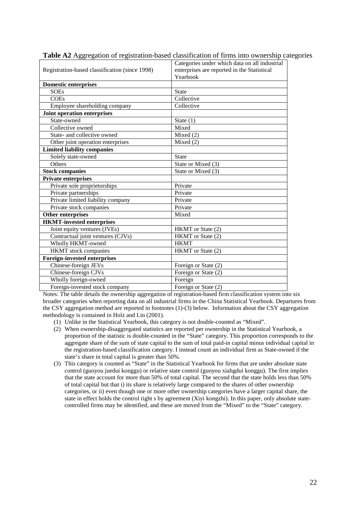| Registration-based classification (since 1998) | Categories under which data on all industrial<br>enterprises are reported in the Statistical |  |  |  |
|------------------------------------------------|----------------------------------------------------------------------------------------------|--|--|--|
|                                                | Yearbook                                                                                     |  |  |  |
| <b>Domestic enterprises</b>                    |                                                                                              |  |  |  |
| <b>SOEs</b>                                    | <b>State</b>                                                                                 |  |  |  |
| <b>COEs</b>                                    | Collective                                                                                   |  |  |  |
| Employee shareholding company                  | Collective                                                                                   |  |  |  |
| Joint operation enterprises                    |                                                                                              |  |  |  |
| State-owned                                    | State $(1)$                                                                                  |  |  |  |
| Collective owned                               | Mixed                                                                                        |  |  |  |
| State- and collective owned                    | Mixed $(2)$                                                                                  |  |  |  |
| Other joint operation enterprises              | Mixed $(2)$                                                                                  |  |  |  |
| <b>Limited liability companies</b>             |                                                                                              |  |  |  |
| Solely state-owned                             | <b>State</b>                                                                                 |  |  |  |
| Others                                         | State or Mixed (3)                                                                           |  |  |  |
| <b>Stock companies</b>                         | State or Mixed (3)                                                                           |  |  |  |
| <b>Private enterprises</b>                     |                                                                                              |  |  |  |
| Private sole proprietorships                   | Private                                                                                      |  |  |  |
| Private partnerships                           | Private                                                                                      |  |  |  |
| Private limited liability company              | Private                                                                                      |  |  |  |
| Private stock companies                        | Private                                                                                      |  |  |  |
| Other enterprises                              | Mixed                                                                                        |  |  |  |
| <b>HKMT-invested enterprises</b>               |                                                                                              |  |  |  |
| Joint equity ventures (JVEs)                   | HKMT or State (2)                                                                            |  |  |  |
| Contractual joint ventures (CJVs)              | HKMT or State (2)                                                                            |  |  |  |
| Wholly HKMT-owned                              | <b>HKMT</b>                                                                                  |  |  |  |
| <b>HKMT</b> stock companies                    | HKMT or State (2)                                                                            |  |  |  |
| <b>Foreign-invested enterprises</b>            |                                                                                              |  |  |  |
| Chinese-foreign JEVs                           | Foreign or State (2)                                                                         |  |  |  |
| Chinese-foreign CJVs                           | Foreign or State $(2)$                                                                       |  |  |  |
| Wholly foreign-owned                           | Foreign                                                                                      |  |  |  |
| Foreign-invested stock company                 | Foreign or State (2)                                                                         |  |  |  |

**Table A2** Aggregation of registration-based classification of firms into ownership categories

Notes: The table details the ownership aggregation of registration-based firm classification system into six broader categories when reporting data on all industrial firms in the China Statistical Yearbook. Departures from the CSY aggregation method are reported in footnotes (1)-(3) below. Information about the CSY aggregation methodology is contained in Holz and Lin (2001).

- (1) Unlike in the Statistical Yearbook, this category is not double-counted as "Mixed".
- (2) When ownership-disaggregated statistics are reported per ownership in the Statistical Yearbook, a proportion of the statistic is double-counted in the "State" category. This proportion corresponds to the aggregate share of the sum of state capital to the sum of total paid-in capital minus individual capital in the registration-based classification category. I instead count an individual firm as State-owned if the state's share in total capital is greater than 50%.
- (3) This category is counted as "State" in the Statistical Yearbook for firms that are under absolute state control (guoyou juedui konggu) or relative state control (guoyou xiahgdui konggu). The first implies that the state account for more than 50% of total capital. The second that the state holds less than 50% of total capital but that i) its share is relatively large compared to the shares of other ownership categories, or ii) even though one or more other ownership categories have a larger capital share, the state in effect holds the control right s by agreement (Xiyi kongzhi). In this paper, only absolute statecontrolled firms may be identified, and these are moved from the "Mixed" to the "State" category.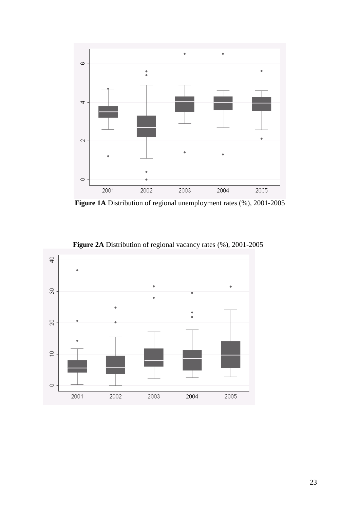

**Figure 1A** Distribution of regional unemployment rates (%), 2001-2005



**Figure 2A** Distribution of regional vacancy rates (%), 2001-2005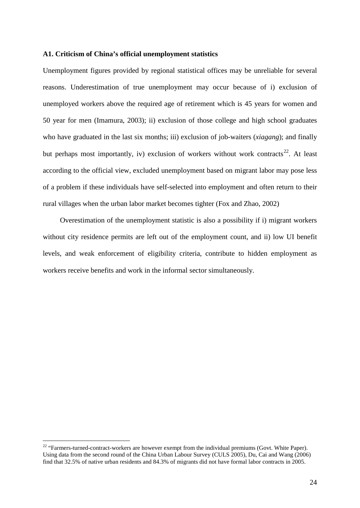#### **A1. Criticism of China's official unemployment statistics**

Unemployment figures provided by regional statistical offices may be unreliable for several reasons. Underestimation of true unemployment may occur because of i) exclusion of unemployed workers above the required age of retirement which is 45 years for women and 50 year for men (Imamura, 2003); ii) exclusion of those college and high school graduates who have graduated in the last six months; iii) exclusion of job-waiters (*xiagang*); and finally but perhaps most importantly, iv) exclusion of workers without work contracts<sup>[22](#page-23-0)</sup>. At least according to the official view, excluded unemployment based on migrant labor may pose less of a problem if these individuals have self-selected into employment and often return to their rural villages when the urban labor market becomes tighter (Fox and Zhao, 2002)

Overestimation of the unemployment statistic is also a possibility if i) migrant workers without city residence permits are left out of the employment count, and ii) low UI benefit levels, and weak enforcement of eligibility criteria, contribute to hidden employment as workers receive benefits and work in the informal sector simultaneously.

<span id="page-23-0"></span><sup>&</sup>lt;sup>22</sup> "Farmers-turned-contract-workers are however exempt from the individual premiums (Govt. White Paper). Using data from the second round of the China Urban Labour Survey (CULS 2005), Du, Cai and Wang (2006) find that 32.5% of native urban residents and 84.3% of migrants did not have formal labor contracts in 2005.